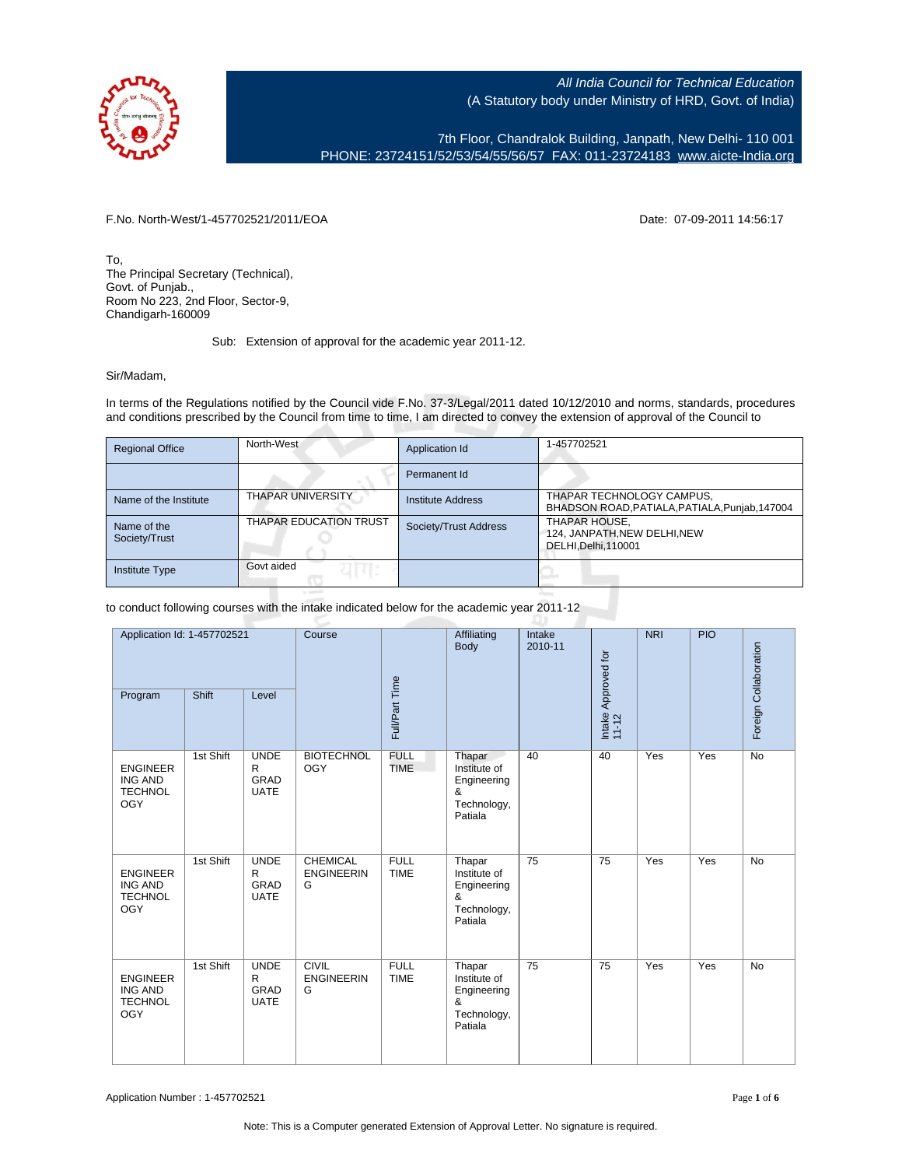

7th Floor, Chandralok Building, Janpath, New Delhi- 110 001 PHONE: 23724151/52/53/54/55/56/57 FAX: 011-23724183 [www.aicte-India.org](http://www.aicte-India.org)

F.No. North-West/1-457702521/2011/EOA Date: 07-09-2011 14:56:17

To, The Principal Secretary (Technical), Govt. of Punjab., Room No 223, 2nd Floor, Sector-9, Chandigarh-160009

Sub: Extension of approval for the academic year 2011-12.

## Sir/Madam,

In terms of the Regulations notified by the Council vide F.No. 37-3/Legal/2011 dated 10/12/2010 and norms, standards, procedures and conditions prescribed by the Council from time to time, I am directed to convey the extension of approval of the Council to

| <b>Regional Office</b>       | North-West                    | Application Id           | 1-457702521                                                                 |
|------------------------------|-------------------------------|--------------------------|-----------------------------------------------------------------------------|
|                              |                               | Permanent Id             |                                                                             |
| Name of the Institute        | <b>THAPAR UNIVERSITY</b>      | <b>Institute Address</b> | THAPAR TECHNOLOGY CAMPUS,<br>BHADSON ROAD, PATIALA, PATIALA, Punjab, 147004 |
| Name of the<br>Society/Trust | <b>THAPAR EDUCATION TRUST</b> | Society/Trust Address    | THAPAR HOUSE,<br>124, JANPATH, NEW DELHI, NEW<br>DELHI, Delhi, 110001       |
| <b>Institute Type</b>        | Govt aided                    |                          |                                                                             |

to conduct following courses with the intake indicated below for the academic year 2011-12

| Application Id: 1-457702521<br>Program                            | Shift     | Level                                              | Course                                    | Full/Part Time             | Affiliating<br>Body                                                  | Intake<br>2010-11 | Intake Approved for<br>11-12 | <b>NRI</b> | PIO | Foreign Collaboration |
|-------------------------------------------------------------------|-----------|----------------------------------------------------|-------------------------------------------|----------------------------|----------------------------------------------------------------------|-------------------|------------------------------|------------|-----|-----------------------|
| <b>ENGINEER</b><br><b>ING AND</b><br><b>TECHNOL</b><br><b>OGY</b> | 1st Shift | <b>UNDE</b><br>$\mathsf{R}$<br>GRAD<br><b>UATE</b> | <b>BIOTECHNOL</b><br><b>OGY</b>           | <b>FULL</b><br><b>TIME</b> | Thapar<br>Institute of<br>Engineering<br>&<br>Technology,<br>Patiala | 40                | 40                           | Yes        | Yes | <b>No</b>             |
| <b>ENGINEER</b><br><b>ING AND</b><br><b>TECHNOL</b><br><b>OGY</b> | 1st Shift | <b>UNDE</b><br>R<br>GRAD<br><b>UATE</b>            | <b>CHEMICAL</b><br><b>ENGINEERIN</b><br>G | <b>FULL</b><br><b>TIME</b> | Thapar<br>Institute of<br>Engineering<br>&<br>Technology,<br>Patiala | 75                | 75                           | Yes        | Yes | <b>No</b>             |
| <b>ENGINEER</b><br><b>ING AND</b><br><b>TECHNOL</b><br><b>OGY</b> | 1st Shift | <b>UNDE</b><br>$\mathsf{R}$<br>GRAD<br><b>UATE</b> | <b>CIVIL</b><br><b>ENGINEERIN</b><br>G    | <b>FULL</b><br><b>TIME</b> | Thapar<br>Institute of<br>Engineering<br>&<br>Technology,<br>Patiala | 75                | $\overline{75}$              | Yes        | Yes | <b>No</b>             |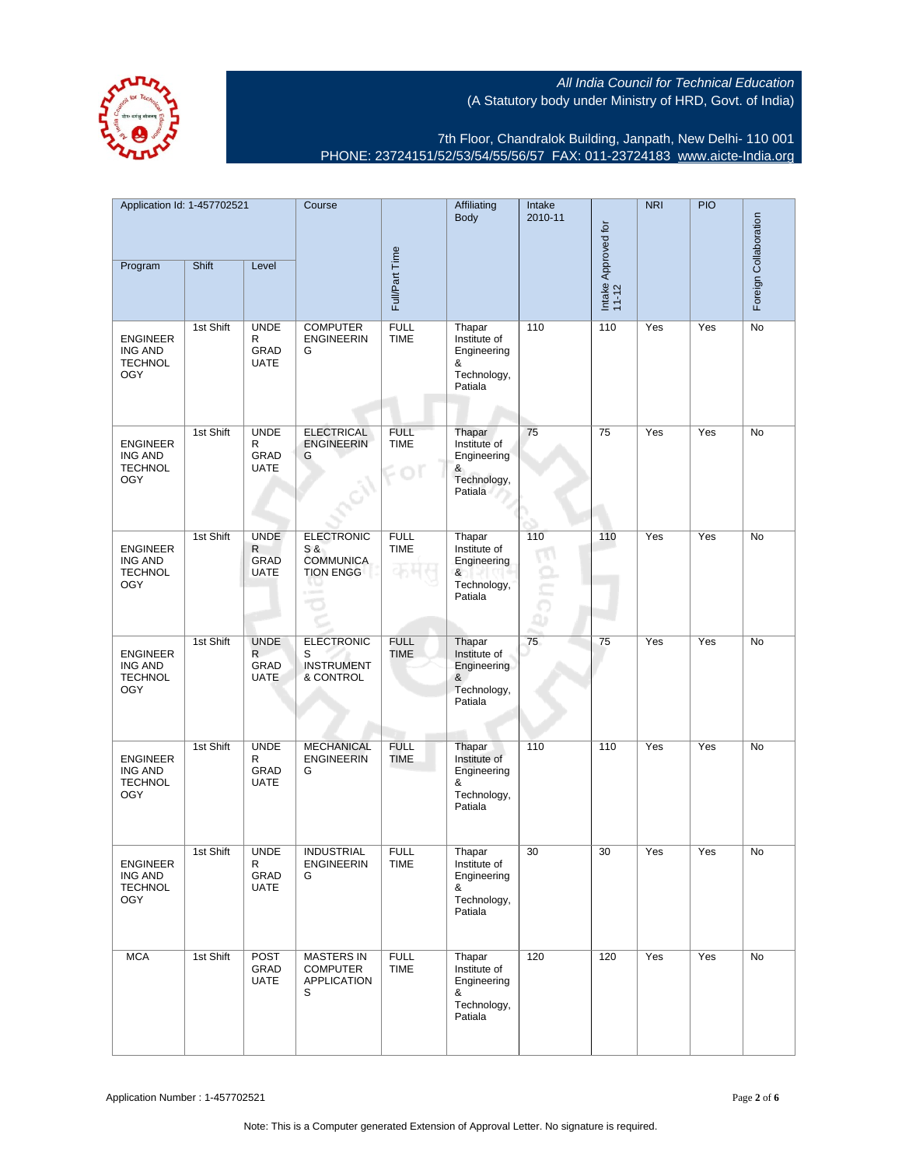

7th Floor, Chandralok Building, Janpath, New Delhi- 110 001 PHONE: 23724151/52/53/54/55/56/57 FAX: 011-23724183 [www.aicte-India.org](http://www.aicte-India.org)

| Application Id: 1-457702521                                       |           |                                                | Course                                                                      |                                       | Affiliating<br>Intake<br><b>Body</b><br>2010-11                      |     |                              | <b>NRI</b> | <b>PIO</b> |                       |
|-------------------------------------------------------------------|-----------|------------------------------------------------|-----------------------------------------------------------------------------|---------------------------------------|----------------------------------------------------------------------|-----|------------------------------|------------|------------|-----------------------|
| Program                                                           | Shift     | Level                                          |                                                                             | Full/Part Time                        |                                                                      |     | Intake Approved for<br>11-12 |            |            | Foreign Collaboration |
| <b>ENGINEER</b><br>ING AND<br><b>TECHNOL</b><br><b>OGY</b>        | 1st Shift | <b>UNDE</b><br>R<br>GRAD<br><b>UATE</b>        | <b>COMPUTER</b><br><b>ENGINEERIN</b><br>G                                   | <b>FULL</b><br><b>TIME</b>            | Thapar<br>Institute of<br>Engineering<br>&<br>Technology,<br>Patiala | 110 | 110                          | Yes        | Yes        | No                    |
| <b>ENGINEER</b><br>ING AND<br><b>TECHNOL</b><br><b>OGY</b>        | 1st Shift | <b>UNDE</b><br>R<br>GRAD<br><b>UATE</b>        | <b>ELECTRICAL</b><br><b>ENGINEERIN</b><br>G                                 | <b>FULL</b><br><b>TIME</b><br>$\circ$ | Thapar<br>Institute of<br>Engineering<br>&<br>Technology,<br>Patiala | 75  | 75                           | Yes        | Yes        | No                    |
| <b>ENGINEER</b><br>ING AND<br><b>TECHNOL</b><br><b>OGY</b>        | 1st Shift | <b>UNDE</b><br>R<br><b>GRAD</b><br><b>UATE</b> | <b>ELECTRONIC</b><br>S &<br><b>COMMUNICA</b><br><b>TION ENGG</b><br>a taped | <b>FULL</b><br><b>TIME</b>            | Thapar<br>Institute of<br>Engineering<br>&<br>Technology,<br>Patiala | 110 | 110                          | Yes        | Yes        | No                    |
| <b>ENGINEER</b><br><b>ING AND</b><br><b>TECHNOL</b><br><b>OGY</b> | 1st Shift | <b>UNDE</b><br>R<br>GRAD<br><b>UATE</b>        | <b>ELECTRONIC</b><br>S<br><b>INSTRUMENT</b><br>& CONTROL                    | <b>FULL</b><br><b>TIME</b>            | Thapar<br>Institute of<br>Engineering<br>&<br>Technology,<br>Patiala | 75  | 75                           | Yes        | Yes        | No                    |
| <b>ENGINEER</b><br><b>ING AND</b><br><b>TECHNOL</b><br><b>OGY</b> | 1st Shift | <b>UNDE</b><br>R<br>GRAD<br><b>UATE</b>        | <b>MECHANICAL</b><br><b>ENGINEERIN</b><br>G                                 | <b>FULL</b><br><b>TIME</b>            | Thapar<br>Institute of<br>Engineering<br>&<br>Technology,<br>Patiala | 110 | 110                          | Yes        | Yes        | No                    |
| ENGINEER<br>ING AND<br><b>TECHNOL</b><br><b>OGY</b>               | 1st Shift | <b>UNDE</b><br>к<br>GRAD<br>UATE               | <b>INDUSTRIAL</b><br><b>ENGINEERIN</b><br>G                                 | <b>FULL</b><br><b>IIME</b>            | Thapar<br>Institute of<br>Engineering<br>&<br>Technology,<br>Patiala | 30  | 30                           | Yes        | Yes        | No                    |
| <b>MCA</b>                                                        | 1st Shift | POST<br>GRAD<br>UATE                           | <b>MASTERS IN</b><br><b>COMPUTER</b><br><b>APPLICATION</b><br>S             | <b>FULL</b><br><b>TIME</b>            | Thapar<br>Institute of<br>Engineering<br>&<br>Technology,<br>Patiala | 120 | 120                          | Yes        | Yes        | No                    |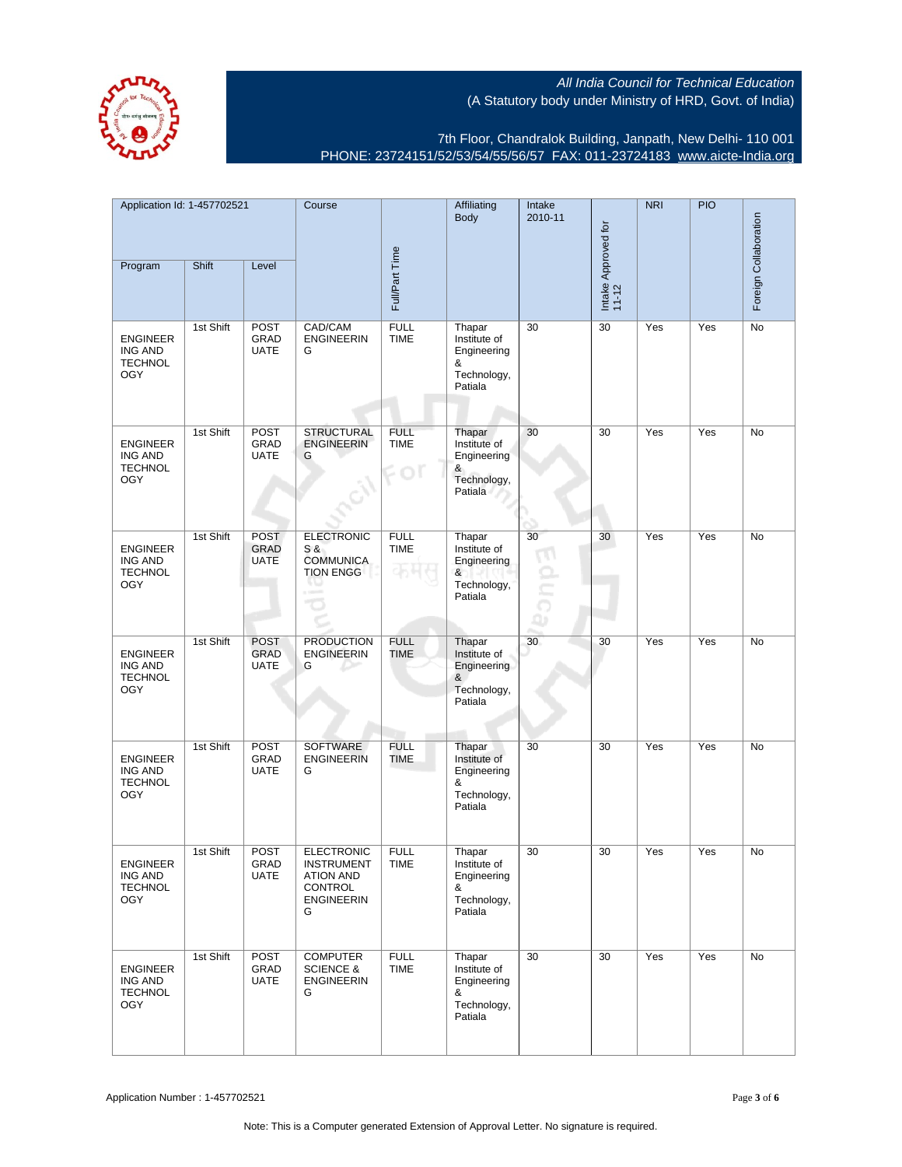

7th Floor, Chandralok Building, Janpath, New Delhi- 110 001 PHONE: 23724151/52/53/54/55/56/57 FAX: 011-23724183 [www.aicte-India.org](http://www.aicte-India.org)

| Application Id: 1-457702521                                       |           |                                           | Course                                                                                          |                            | Affiliating<br>Intake<br><b>Body</b><br>2010-11                      |    |                              | <b>NRI</b> | <b>PIO</b> |                       |
|-------------------------------------------------------------------|-----------|-------------------------------------------|-------------------------------------------------------------------------------------------------|----------------------------|----------------------------------------------------------------------|----|------------------------------|------------|------------|-----------------------|
| Program                                                           | Shift     | Level                                     |                                                                                                 | Full/Part Time             |                                                                      |    | Intake Approved for<br>11-12 |            |            | Foreign Collaboration |
| <b>ENGINEER</b><br><b>ING AND</b><br><b>TECHNOL</b><br><b>OGY</b> | 1st Shift | <b>POST</b><br>GRAD<br><b>UATE</b>        | CAD/CAM<br><b>ENGINEERIN</b><br>G                                                               | <b>FULL</b><br><b>TIME</b> | Thapar<br>Institute of<br>Engineering<br>&<br>Technology,<br>Patiala | 30 | 30                           | Yes        | Yes        | No                    |
| <b>ENGINEER</b><br>ING AND<br><b>TECHNOL</b><br><b>OGY</b>        | 1st Shift | <b>POST</b><br>GRAD<br><b>UATE</b>        | <b>STRUCTURAL</b><br><b>ENGINEERIN</b><br>G                                                     | <b>FULL</b><br><b>TIME</b> | Thapar<br>Institute of<br>Engineering<br>&<br>Technology,<br>Patiala | 30 | 30                           | Yes        | Yes        | No                    |
| <b>ENGINEER</b><br>ING AND<br><b>TECHNOL</b><br><b>OGY</b>        | 1st Shift | <b>POST</b><br><b>GRAD</b><br><b>UATE</b> | <b>ELECTRONIC</b><br>S &<br><b>COMMUNICA</b><br><b>TION ENGG</b>                                | <b>FULL</b><br><b>TIME</b> | Thapar<br>Institute of<br>Engineering<br>&<br>Technology,<br>Patiala | 30 | 30                           | Yes        | Yes        | No                    |
| <b>ENGINEER</b><br><b>ING AND</b><br><b>TECHNOL</b><br><b>OGY</b> | 1st Shift | <b>POST</b><br><b>GRAD</b><br><b>UATE</b> | <b>PRODUCTION</b><br><b>ENGINEERIN</b><br>G                                                     | <b>FULL</b><br><b>TIME</b> | Thapar<br>Institute of<br>Engineering<br>&<br>Technology,<br>Patiala | 30 | 30                           | Yes        | Yes        | No                    |
| <b>ENGINEER</b><br><b>ING AND</b><br><b>TECHNOL</b><br>OGY        | 1st Shift | POST<br>GRAD<br><b>UATE</b>               | <b>SOFTWARE</b><br><b>ENGINEERIN</b><br>G                                                       | <b>FULL</b><br><b>TIME</b> | Thapar<br>Institute of<br>Engineering<br>&<br>Technology,<br>Patiala | 30 | 30                           | Yes        | Yes        | No                    |
| ENGINEER<br><b>ING AND</b><br><b>TECHNOL</b><br><b>OGY</b>        | 1st Shift | POST<br>GRAD<br><b>UATE</b>               | <b>ELECTRONIC</b><br><b>INSTRUMENT</b><br><b>ATION AND</b><br>CONTROL<br><b>ENGINEERIN</b><br>G | <b>FULL</b><br>TIME        | Thapar<br>Institute of<br>Engineering<br>&<br>Technology,<br>Patiala | 30 | 30                           | Yes        | Yes        | No                    |
| <b>ENGINEER</b><br><b>ING AND</b><br><b>TECHNOL</b><br><b>OGY</b> | 1st Shift | POST<br>GRAD<br>UATE                      | <b>COMPUTER</b><br><b>SCIENCE &amp;</b><br><b>ENGINEERIN</b><br>G                               | <b>FULL</b><br><b>TIME</b> | Thapar<br>Institute of<br>Engineering<br>&<br>Technology,<br>Patiala | 30 | 30                           | Yes        | Yes        | No                    |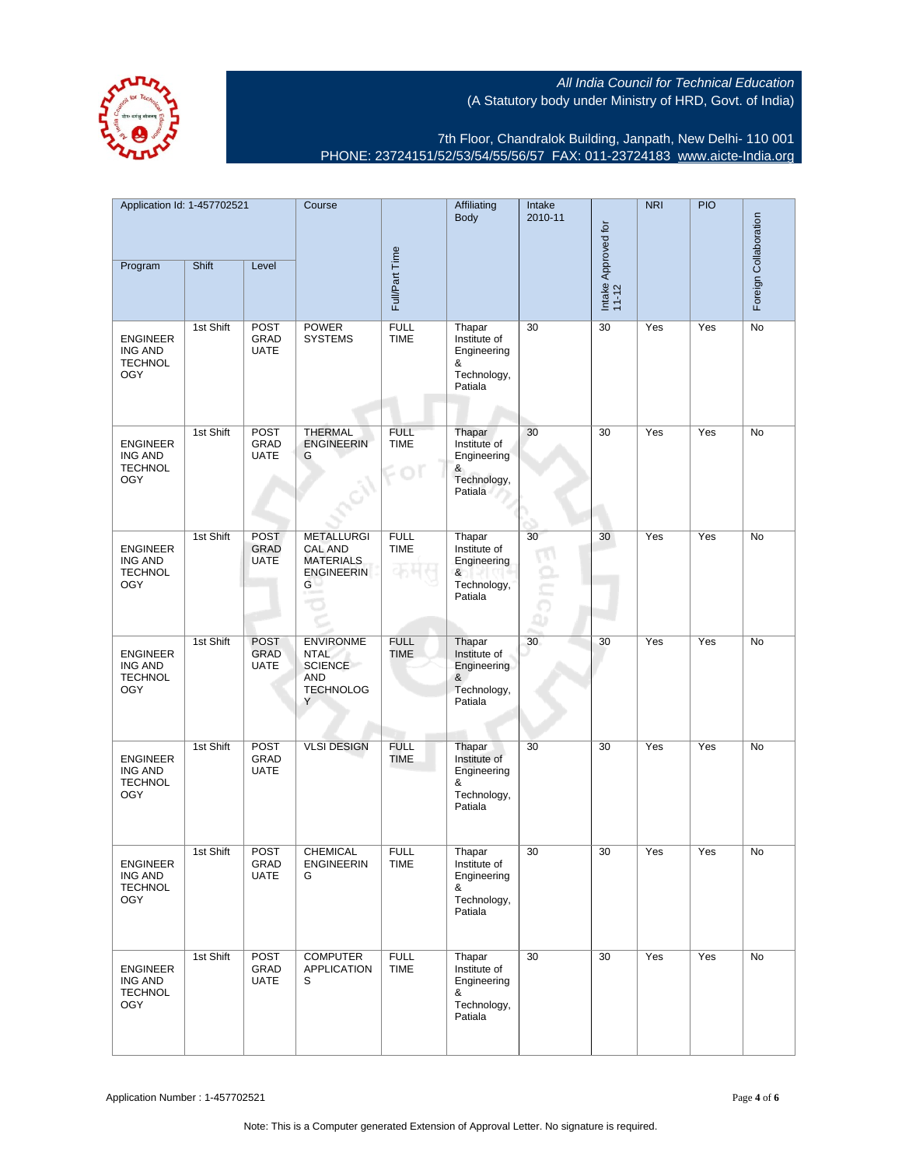

7th Floor, Chandralok Building, Janpath, New Delhi- 110 001 PHONE: 23724151/52/53/54/55/56/57 FAX: 011-23724183 [www.aicte-India.org](http://www.aicte-India.org)

| Application Id: 1-457702521                                       |           | Course                                    |                                                                                          | Affiliating<br>Body        | Intake<br>2010-11                                                    |         | <b>NRI</b>                   | <b>PIO</b> | Foreign Collaboration |           |
|-------------------------------------------------------------------|-----------|-------------------------------------------|------------------------------------------------------------------------------------------|----------------------------|----------------------------------------------------------------------|---------|------------------------------|------------|-----------------------|-----------|
| Program                                                           | Shift     | Level                                     |                                                                                          | Full/Part Time             |                                                                      |         | Intake Approved for<br>11-12 |            |                       |           |
| <b>ENGINEER</b><br>ING AND<br><b>TECHNOL</b><br><b>OGY</b>        | 1st Shift | <b>POST</b><br>GRAD<br><b>UATE</b>        | <b>POWER</b><br><b>SYSTEMS</b>                                                           | <b>FULL</b><br><b>TIME</b> | Thapar<br>Institute of<br>Engineering<br>&<br>Technology,<br>Patiala | 30      | 30                           | Yes        | Yes                   | No        |
| <b>ENGINEER</b><br><b>ING AND</b><br><b>TECHNOL</b><br><b>OGY</b> | 1st Shift | <b>POST</b><br><b>GRAD</b><br><b>UATE</b> | <b>THERMAL</b><br><b>ENGINEERIN</b><br>G                                                 | <b>FULL</b><br><b>TIME</b> | Thapar<br>Institute of<br>Engineering<br>&<br>Technology,<br>Patiala | 30      | 30                           | Yes        | Yes                   | No        |
| <b>ENGINEER</b><br><b>ING AND</b><br><b>TECHNOL</b><br><b>OGY</b> | 1st Shift | <b>POST</b><br><b>GRAD</b><br><b>UATE</b> | <b>METALLURGI</b><br><b>CAL AND</b><br><b>MATERIALS</b><br><b>ENGINEERIN</b><br>G        | <b>FULL</b><br><b>TIME</b> | Thapar<br>Institute of<br>Engineering<br>&<br>Technology,<br>Patiala | 30<br>a | 30                           | Yes        | Yes                   | No        |
| <b>ENGINEER</b><br><b>ING AND</b><br><b>TECHNOL</b><br><b>OGY</b> | 1st Shift | <b>POST</b><br><b>GRAD</b><br><b>UATE</b> | <b>ENVIRONME</b><br><b>NTAL</b><br><b>SCIENCE</b><br><b>AND</b><br><b>TECHNOLOG</b><br>Y | <b>FULL</b><br><b>TIME</b> | Thapar<br>Institute of<br>Engineering<br>&<br>Technology,<br>Patiala | 30      | 30                           | Yes        | Yes                   | <b>No</b> |
| <b>ENGINEER</b><br><b>ING AND</b><br><b>TECHNOL</b><br><b>OGY</b> | 1st Shift | POST<br>GRAD<br><b>UATE</b>               | <b>VLSI DESIGN</b>                                                                       | <b>FULL</b><br><b>TIME</b> | Thapar<br>Institute of<br>Engineering<br>&<br>Technology,<br>Patiala | 30      | 30                           | Yes        | Yes                   | No        |
| ENGINEER<br>ING AND<br><b>TECHNOL</b><br><b>OGY</b>               | 1st Shift | <b>POST</b><br>GRAD<br><b>UATE</b>        | <b>CHEMICAL</b><br><b>ENGINEERIN</b><br>G                                                | <b>FULL</b><br>TIME        | Thapar<br>institute of<br>Engineering<br>&<br>Technology,<br>Patiala | 30      | 30                           | Yes        | Yes                   | No        |
| <b>ENGINEER</b><br>ING AND<br><b>TECHNOL</b><br><b>OGY</b>        | 1st Shift | <b>POST</b><br>GRAD<br><b>UATE</b>        | <b>COMPUTER</b><br><b>APPLICATION</b><br>S                                               | <b>FULL</b><br><b>TIME</b> | Thapar<br>Institute of<br>Engineering<br>&<br>Technology,<br>Patiala | 30      | 30                           | Yes        | Yes                   | No        |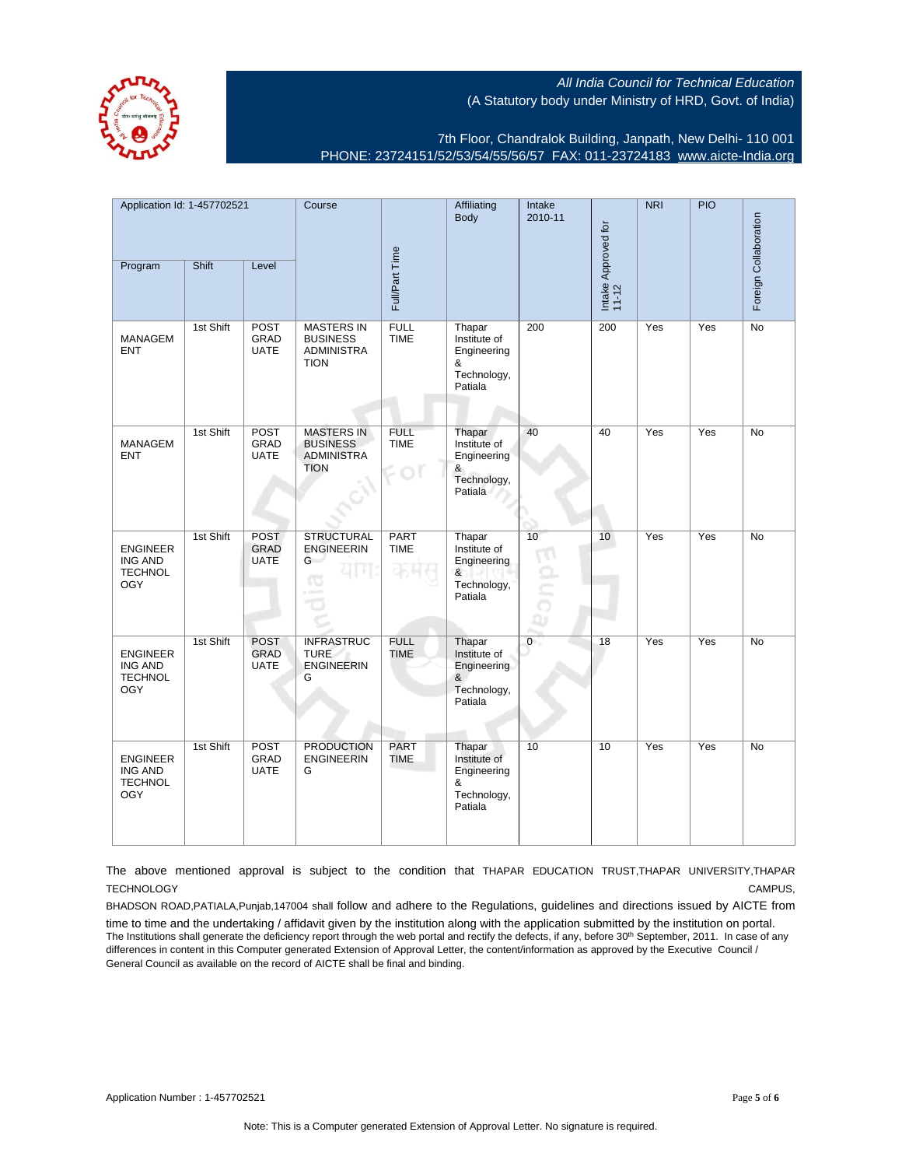

7th Floor, Chandralok Building, Janpath, New Delhi- 110 001 PHONE: 23724151/52/53/54/55/56/57 FAX: 011-23724183 [www.aicte-India.org](http://www.aicte-India.org)

| Application Id: 1-457702521<br>Program                            | Shift     | Level                                     | Course                                                                   | Full/Part Time                   | Affiliating<br>Body                                                  | Intake<br>2010-11         | Intake Approved for<br>11-12 | NRI | PIO | Foreign Collaboration |
|-------------------------------------------------------------------|-----------|-------------------------------------------|--------------------------------------------------------------------------|----------------------------------|----------------------------------------------------------------------|---------------------------|------------------------------|-----|-----|-----------------------|
|                                                                   | 1st Shift | POST                                      | <b>MASTERS IN</b>                                                        | <b>FULL</b>                      |                                                                      |                           | 200                          | Yes | Yes | No                    |
| <b>MANAGEM</b><br><b>ENT</b>                                      |           | <b>GRAD</b><br><b>UATE</b>                | <b>BUSINESS</b><br><b>ADMINISTRA</b><br><b>TION</b>                      | <b>TIME</b>                      | Thapar<br>Institute of<br>Engineering<br>&<br>Technology,<br>Patiala | 200                       |                              |     |     |                       |
| <b>MANAGEM</b><br><b>ENT</b>                                      | 1st Shift | <b>POST</b><br>GRAD<br><b>UATE</b>        | <b>MASTERS IN</b><br><b>BUSINESS</b><br><b>ADMINISTRA</b><br><b>TION</b> | <b>FULL</b><br><b>TIME</b><br>Oľ | Thapar<br>Institute of<br>Engineering<br>&<br>Technology,<br>Patiala | 40                        | 40                           | Yes | Yes | No                    |
| <b>ENGINEER</b><br><b>ING AND</b><br><b>TECHNOL</b><br><b>OGY</b> | 1st Shift | <b>POST</b><br>GRAD<br><b>UATE</b>        | <b>STRUCTURAL</b><br><b>ENGINEERIN</b><br>G<br>CO                        | PART<br><b>TIME</b>              | Thapar<br>Institute of<br>Engineering<br>&<br>Technology,<br>Patiala | 10<br>$\frac{1}{2}$<br>Q۵ | 10 <sup>1</sup>              | Yes | Yes | No                    |
| <b>ENGINEER</b><br><b>ING AND</b><br><b>TECHNOL</b><br><b>OGY</b> | 1st Shift | <b>POST</b><br><b>GRAD</b><br><b>UATE</b> | <b>INFRASTRUC</b><br><b>TURE</b><br><b>ENGINEERIN</b><br>G               | <b>FULL</b><br><b>TIME</b>       | Thapar<br>Institute of<br>Engineering<br>&<br>Technology,<br>Patiala | $\overline{0}$            | 18                           | Yes | Yes | No                    |
| <b>ENGINEER</b><br><b>ING AND</b><br><b>TECHNOL</b><br><b>OGY</b> | 1st Shift | <b>POST</b><br>GRAD<br><b>UATE</b>        | <b>PRODUCTION</b><br><b>ENGINEERIN</b><br>G                              | PART<br><b>TIME</b>              | Thapar<br>Institute of<br>Engineering<br>&<br>Technology,<br>Patiala | 10                        | 10                           | Yes | Yes | <b>No</b>             |

The above mentioned approval is subject to the condition that THAPAR EDUCATION TRUST,THAPAR UNIVERSITY,THAPAR TECHNOLOGY CAMPUS,

BHADSON ROAD,PATIALA,Punjab,147004 shall follow and adhere to the Regulations, guidelines and directions issued by AICTE from

time to time and the undertaking / affidavit given by the institution along with the application submitted by the institution on portal. The Institutions shall generate the deficiency report through the web portal and rectify the defects, if any, before 30<sup>th</sup> September, 2011. In case of any differences in content in this Computer generated Extension of Approval Letter, the content/information as approved by the Executive Council / General Council as available on the record of AICTE shall be final and binding.